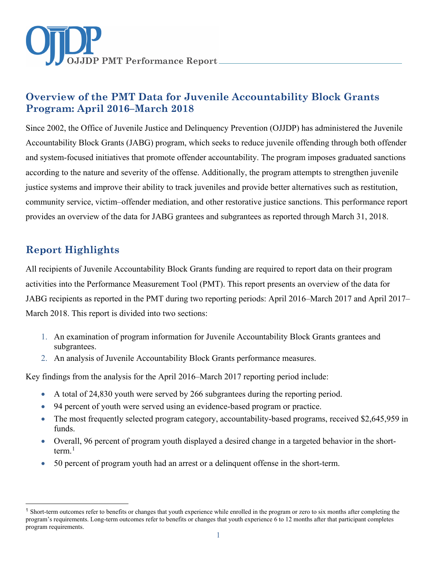

# **Overview of the PMT Data for Juvenile Accountability Block Grants Program: April 2016–March 2018**

Since 2002, the Office of Juvenile Justice and Delinquency Prevention (OJJDP) has administered the Juvenile Accountability Block Grants (JABG) program, which seeks to reduce juvenile offending through both offender and system-focused initiatives that promote offender accountability. The program imposes graduated sanctions according to the nature and severity of the offense. Additionally, the program attempts to strengthen juvenile justice systems and improve their ability to track juveniles and provide better alternatives such as restitution, community service, victim–offender mediation, and other restorative justice sanctions. This performance report provides an overview of the data for JABG grantees and subgrantees as reported through March 31, 2018.

# **Report Highlights**

 $\ddot{\phantom{a}}$ 

All recipients of Juvenile Accountability Block Grants funding are required to report data on their program activities into the Performance Measurement Tool (PMT). This report presents an overview of the data for JABG recipients as reported in the PMT during two reporting periods: April 2016–March 2017 and April 2017– March 2018. This report is divided into two sections:

- 1. An examination of program information for Juvenile Accountability Block Grants grantees and subgrantees.
- 2. An analysis of Juvenile Accountability Block Grants performance measures.

Key findings from the analysis for the April 2016–March 2017 reporting period include:

- A total of 24,830 youth were served by 266 subgrantees during the reporting period.
- 94 percent of youth were served using an evidence-based program or practice.
- The most frequently selected program category, accountability-based programs, received \$2,645,959 in funds.
- Overall, 96 percent of program youth displayed a desired change in a targeted behavior in the shortterm. [1](#page-0-0)
- 50 percent of program youth had an arrest or a delinquent offense in the short-term.

<span id="page-0-0"></span><sup>&</sup>lt;sup>1</sup> Short-term outcomes refer to benefits or changes that youth experience while enrolled in the program or zero to six months after completing the program's requirements. Long-term outcomes refer to benefits or changes that youth experience 6 to 12 months after that participant completes program requirements.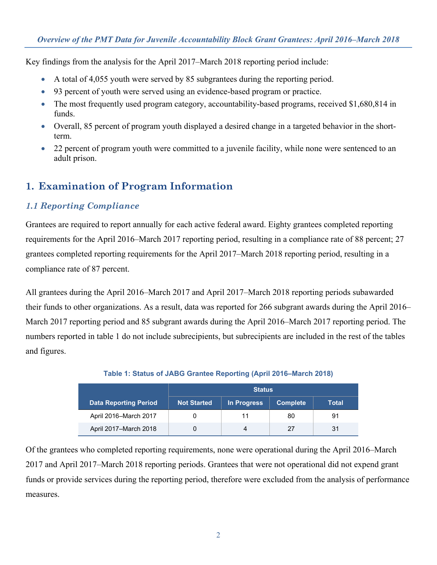Key findings from the analysis for the April 2017–March 2018 reporting period include:

- A total of 4,055 youth were served by 85 subgrantees during the reporting period.
- 93 percent of youth were served using an evidence-based program or practice.
- The most frequently used program category, accountability-based programs, received \$1,680,814 in funds.
- Overall, 85 percent of program youth displayed a desired change in a targeted behavior in the shortterm.
- 22 percent of program youth were committed to a juvenile facility, while none were sentenced to an adult prison.

## **1. Examination of Program Information**

## *1.1 Reporting Compliance*

Grantees are required to report annually for each active federal award. Eighty grantees completed reporting requirements for the April 2016–March 2017 reporting period, resulting in a compliance rate of 88 percent; 27 grantees completed reporting requirements for the April 2017–March 2018 reporting period, resulting in a compliance rate of 87 percent.

All grantees during the April 2016–March 2017 and April 2017–March 2018 reporting periods subawarded their funds to other organizations. As a result, data was reported for 266 subgrant awards during the April 2016– March 2017 reporting period and 85 subgrant awards during the April 2016–March 2017 reporting period. The numbers reported in table 1 do not include subrecipients, but subrecipients are included in the rest of the tables and figures.

|                              | <b>Status</b>      |             |                 |              |
|------------------------------|--------------------|-------------|-----------------|--------------|
| <b>Data Reporting Period</b> | <b>Not Started</b> | In Progress | <b>Complete</b> | <b>Total</b> |
| April 2016-March 2017        |                    | 11          | 80              | 91           |
| April 2017-March 2018        |                    | 4           | 27              | 31           |

### **Table 1: Status of JABG Grantee Reporting (April 2016–March 2018)**

Of the grantees who completed reporting requirements, none were operational during the April 2016–March 2017 and April 2017–March 2018 reporting periods. Grantees that were not operational did not expend grant funds or provide services during the reporting period, therefore were excluded from the analysis of performance measures.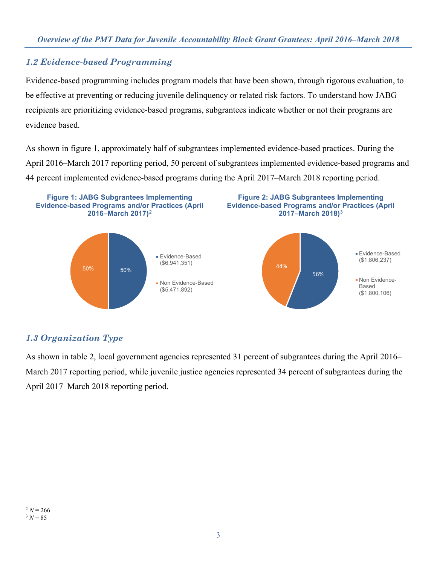## *1.2 Evidence-based Programming*

Evidence-based programming includes program models that have been shown, through rigorous evaluation, to be effective at preventing or reducing juvenile delinquency or related risk factors. To understand how JABG recipients are prioritizing evidence-based programs, subgrantees indicate whether or not their programs are evidence based.

As shown in figure 1, approximately half of subgrantees implemented evidence-based practices. During the April 2016–March 2017 reporting period, 50 percent of subgrantees implemented evidence-based programs and 44 percent implemented evidence-based programs during the April 2017–March 2018 reporting period.



## *1.3 Organization Type*

<span id="page-2-1"></span><span id="page-2-0"></span>As shown in table 2, local government agencies represented 31 percent of subgrantees during the April 2016– March 2017 reporting period, while juvenile justice agencies represented 34 percent of subgrantees during the April 2017–March 2018 reporting period.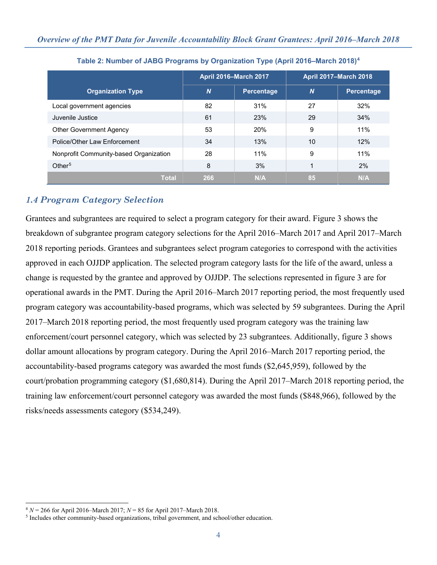|                                        | <b>April 2016-March 2017</b> |                   | <b>April 2017-March 2018</b> |            |
|----------------------------------------|------------------------------|-------------------|------------------------------|------------|
| <b>Organization Type</b>               | $\boldsymbol{N}$             | <b>Percentage</b> | <b>N</b>                     | Percentage |
| Local government agencies              | 82                           | 31%               | 27                           | 32%        |
| Juvenile Justice                       | 61                           | 23%               | 29                           | 34%        |
| <b>Other Government Agency</b>         | 53                           | 20%               | 9                            | 11%        |
| Police/Other Law Enforcement           | 34                           | 13%               | 10                           | 12%        |
| Nonprofit Community-based Organization | 28                           | 11%               | 9                            | 11%        |
| Other <sup>5</sup>                     | 8                            | 3%                | 1                            | 2%         |
| <b>Total</b>                           | 266                          | N/A               | 85                           | N/A        |

#### **Table 2: Number of JABG Programs by Organization Type (April 2016–March 2018)[4](#page-3-0)**

## *1.4 Program Category Selection*

Grantees and subgrantees are required to select a program category for their award. Figure 3 shows the breakdown of subgrantee program category selections for the April 2016–March 2017 and April 2017–March 2018 reporting periods. Grantees and subgrantees select program categories to correspond with the activities approved in each OJJDP application. The selected program category lasts for the life of the award, unless a change is requested by the grantee and approved by OJJDP. The selections represented in figure 3 are for operational awards in the PMT. During the April 2016–March 2017 reporting period, the most frequently used program category was accountability-based programs, which was selected by 59 subgrantees. During the April 2017–March 2018 reporting period, the most frequently used program category was the training law enforcement/court personnel category, which was selected by 23 subgrantees. Additionally, figure 3 shows dollar amount allocations by program category. During the April 2016–March 2017 reporting period, the accountability-based programs category was awarded the most funds (\$2,645,959), followed by the court/probation programming category (\$1,680,814). During the April 2017–March 2018 reporting period, the training law enforcement/court personnel category was awarded the most funds (\$848,966), followed by the risks/needs assessments category (\$534,249).

 $\ddot{\phantom{a}}$ 

<span id="page-3-0"></span> $4 N = 266$  for April 2016–March 2017;  $N = 85$  for April 2017–March 2018.

<span id="page-3-1"></span><sup>5</sup> Includes other community-based organizations, tribal government, and school/other education.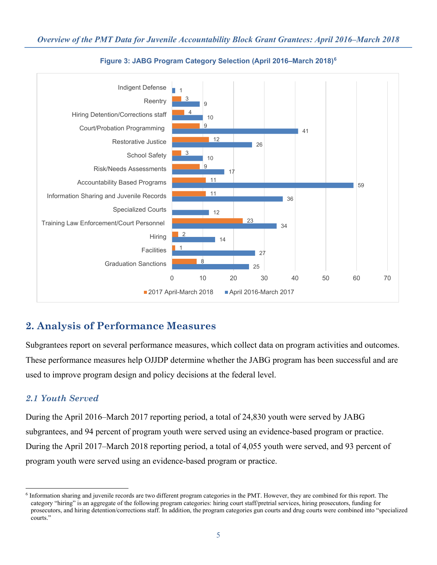

#### **Figure 3: JABG Program Category Selection (April 2016–March 2018)[6](#page-4-0)**

# **2. Analysis of Performance Measures**

Subgrantees report on several performance measures, which collect data on program activities and outcomes. These performance measures help OJJDP determine whether the JABG program has been successful and are used to improve program design and policy decisions at the federal level.

## *2.1 Youth Served*

During the April 2016–March 2017 reporting period, a total of 24,830 youth were served by JABG subgrantees, and 94 percent of program youth were served using an evidence-based program or practice. During the April 2017–March 2018 reporting period, a total of 4,055 youth were served, and 93 percent of program youth were served using an evidence-based program or practice.

<span id="page-4-0"></span> $\overline{a}$ 6 Information sharing and juvenile records are two different program categories in the PMT. However, they are combined for this report. The category "hiring" is an aggregate of the following program categories: hiring court staff/pretrial services, hiring prosecutors, funding for prosecutors, and hiring detention/corrections staff. In addition, the program categories gun courts and drug courts were combined into "specialized courts."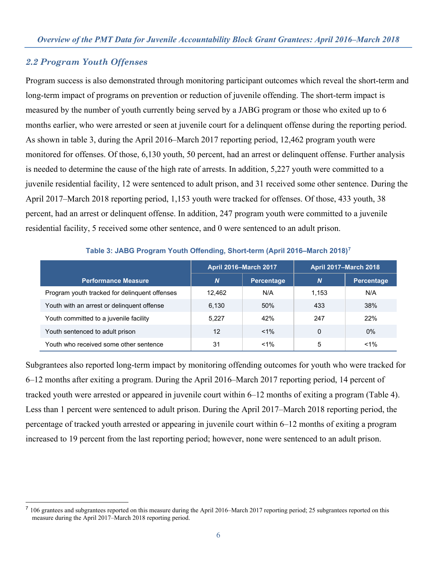#### *2.2 Program Youth Offenses*

 $\overline{a}$ 

Program success is also demonstrated through monitoring participant outcomes which reveal the short-term and long-term impact of programs on prevention or reduction of juvenile offending. The short-term impact is measured by the number of youth currently being served by a JABG program or those who exited up to 6 months earlier, who were arrested or seen at juvenile court for a delinquent offense during the reporting period. As shown in table 3, during the April 2016–March 2017 reporting period, 12,462 program youth were monitored for offenses. Of those, 6,130 youth, 50 percent, had an arrest or delinquent offense. Further analysis is needed to determine the cause of the high rate of arrests. In addition, 5,227 youth were committed to a juvenile residential facility, 12 were sentenced to adult prison, and 31 received some other sentence. During the April 2017–March 2018 reporting period, 1,153 youth were tracked for offenses. Of those, 433 youth, 38 percent, had an arrest or delinquent offense. In addition, 247 program youth were committed to a juvenile residential facility, 5 received some other sentence, and 0 were sentenced to an adult prison.

|                                               | <b>April 2016-March 2017</b> |            | <b>April 2017-March 2018</b> |                   |
|-----------------------------------------------|------------------------------|------------|------------------------------|-------------------|
| <b>Performance Measure</b>                    | <b>N</b>                     | Percentage | N                            | <b>Percentage</b> |
| Program youth tracked for delinquent offenses | 12.462                       | N/A        | 1.153                        | N/A               |
| Youth with an arrest or delinquent offense    | 6.130                        | 50%        | 433                          | 38%               |
| Youth committed to a juvenile facility        | 5.227                        | 42%        | 247                          | 22%               |
| Youth sentenced to adult prison               | 12                           | $< 1\%$    | 0                            | $0\%$             |
| Youth who received some other sentence        | 31                           | $< 1\%$    | 5                            | $< 1\%$           |

**Table 3: JABG Program Youth Offending, Short-term (April 2016–March 2018)[7](#page-5-0)**

Subgrantees also reported long-term impact by monitoring offending outcomes for youth who were tracked for 6–12 months after exiting a program. During the April 2016–March 2017 reporting period, 14 percent of tracked youth were arrested or appeared in juvenile court within 6–12 months of exiting a program (Table 4). Less than 1 percent were sentenced to adult prison. During the April 2017–March 2018 reporting period, the percentage of tracked youth arrested or appearing in juvenile court within 6–12 months of exiting a program increased to 19 percent from the last reporting period; however, none were sentenced to an adult prison.

<span id="page-5-0"></span><sup>&</sup>lt;sup>7</sup> 106 grantees and subgrantees reported on this measure during the April 2016–March 2017 reporting period; 25 subgrantees reported on this measure during the April 2017–March 2018 reporting period.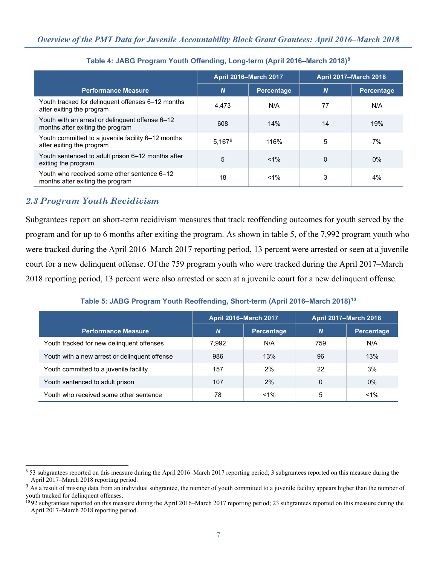|                                                                                     | <b>April 2016-March 2017</b> |            | <b>April 2017-March 2018</b> |                   |
|-------------------------------------------------------------------------------------|------------------------------|------------|------------------------------|-------------------|
| <b>Performance Measure</b>                                                          | $\boldsymbol{N}$             | Percentage | $\boldsymbol{N}$             | <b>Percentage</b> |
| Youth tracked for delinquent offenses 6-12 months<br>after exiting the program      | 4,473                        | N/A        | 77                           | N/A               |
| Youth with an arrest or delinguent offense 6-12<br>months after exiting the program | 608                          | 14%        | 14                           | 19%               |
| Youth committed to a juvenile facility 6-12 months<br>after exiting the program     | 5.167 <sup>9</sup>           | 116%       | 5                            | 7%                |
| Youth sentenced to adult prison 6-12 months after<br>exiting the program            | 5                            | $< 1\%$    | $\Omega$                     | $0\%$             |
| Youth who received some other sentence 6–12<br>months after exiting the program     | 18                           | $< 1\%$    | 3                            | 4%                |

**Table 4: JABG Program Youth Offending, Long-term (April 2016–March 2018)[8](#page-6-0)**

## *2.3 Program Youth Recidivism*

Subgrantees report on short-term recidivism measures that track reoffending outcomes for youth served by the program and for up to 6 months after exiting the program. As shown in table 5, of the 7,992 program youth who were tracked during the April 2016–March 2017 reporting period, 13 percent were arrested or seen at a juvenile court for a new delinquent offense. Of the 759 program youth who were tracked during the April 2017–March 2018 reporting period, 13 percent were also arrested or seen at a juvenile court for a new delinquent offense.

#### **Table 5: JABG Program Youth Reoffending, Short-term (April 2016–March 2018)[10](#page-6-2)**

|                                               | <b>April 2016-March 2017</b> |                   | <b>April 2017-March 2018</b> |            |
|-----------------------------------------------|------------------------------|-------------------|------------------------------|------------|
| <b>Performance Measure</b>                    | $\boldsymbol{N}$             | <b>Percentage</b> | $\boldsymbol{N}$             | Percentage |
| Youth tracked for new delinguent offenses     | 7,992                        | N/A               | 759                          | N/A        |
| Youth with a new arrest or delinguent offense | 986                          | 13%               | 96                           | 13%        |
| Youth committed to a juvenile facility        | 157                          | 2%                | 22                           | 3%         |
| Youth sentenced to adult prison               | 107                          | 2%                | $\Omega$                     | $0\%$      |
| Youth who received some other sentence        | 78                           | $< 1\%$           | 5                            | $1\%$      |

<span id="page-6-0"></span> $\overline{a}$ <sup>8</sup> 53 subgrantees reported on this measure during the April 2016–March 2017 reporting period; 3 subgrantees reported on this measure during the April 2017–March 2018 reporting period.

<span id="page-6-1"></span><sup>&</sup>lt;sup>9</sup> As a result of missing data from an individual subgrantee, the number of youth committed to a juvenile facility appears higher than the number of youth tracked for delinquent offenses.

<span id="page-6-2"></span><sup>&</sup>lt;sup>10</sup> 92 subgrantees reported on this measure during the April 2016–March 2017 reporting period; 23 subgrantees reported on this measure during the April 2017–March 2018 reporting period.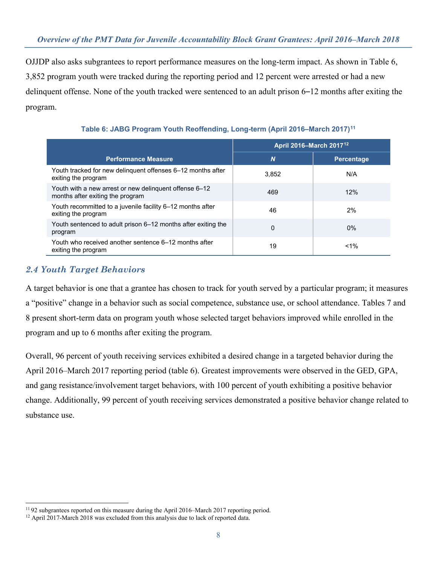OJJDP also asks subgrantees to report performance measures on the long-term impact. As shown in Table 6, 3,852 program youth were tracked during the reporting period and 12 percent were arrested or had a new delinquent offense. None of the youth tracked were sentenced to an adult prison 6–12 months after exiting the program.

|                                                                                            | April 2016-March 2017 <sup>12</sup> |                   |
|--------------------------------------------------------------------------------------------|-------------------------------------|-------------------|
| <b>Performance Measure</b>                                                                 | $\boldsymbol{N}$                    | <b>Percentage</b> |
| Youth tracked for new delinquent offenses 6-12 months after<br>exiting the program         | 3,852                               | N/A               |
| Youth with a new arrest or new delinguent offense 6–12<br>months after exiting the program | 469                                 | 12%               |
| Youth recommitted to a juvenile facility 6-12 months after<br>exiting the program          | 46                                  | 2%                |
| Youth sentenced to adult prison 6–12 months after exiting the<br>program                   | 0                                   | $0\%$             |
| Youth who received another sentence 6–12 months after<br>exiting the program               | 19                                  | $1\%$             |

**Table 6: JABG Program Youth Reoffending, Long-term (April 2016–March 2017)[11](#page-7-0)**

## *2.4 Youth Target Behaviors*

 $\ddot{\phantom{a}}$ 

A target behavior is one that a grantee has chosen to track for youth served by a particular program; it measures a "positive" change in a behavior such as social competence, substance use, or school attendance. Tables 7 and 8 present short-term data on program youth whose selected target behaviors improved while enrolled in the program and up to 6 months after exiting the program.

Overall, 96 percent of youth receiving services exhibited a desired change in a targeted behavior during the April 2016–March 2017 reporting period (table 6). Greatest improvements were observed in the GED, GPA, and gang resistance/involvement target behaviors, with 100 percent of youth exhibiting a positive behavior change. Additionally, 99 percent of youth receiving services demonstrated a positive behavior change related to substance use.

<span id="page-7-0"></span><sup>&</sup>lt;sup>11</sup> 92 subgrantees reported on this measure during the April 2016–March 2017 reporting period. <sup>12</sup> April 2017-March 2018 was excluded from this analysis due to lack of reported data.

<span id="page-7-1"></span>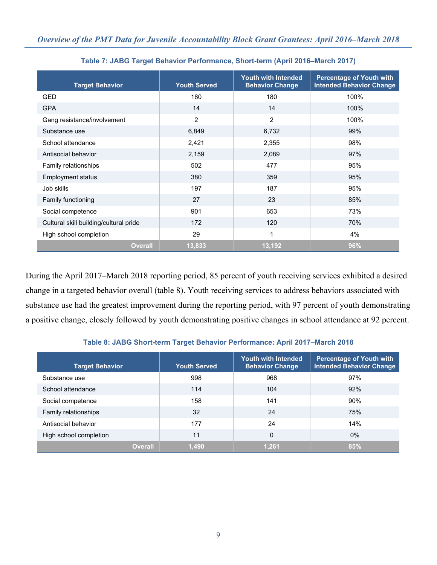| <b>Target Behavior</b>                 | <b>Youth Served</b> | <b>Youth with Intended</b><br><b>Behavior Change</b> | <b>Percentage of Youth with</b><br><b>Intended Behavior Change</b> |
|----------------------------------------|---------------------|------------------------------------------------------|--------------------------------------------------------------------|
| <b>GED</b>                             | 180                 | 180                                                  | 100%                                                               |
| <b>GPA</b>                             | 14                  | 14                                                   | 100%                                                               |
| Gang resistance/involvement            | 2                   | 2                                                    | 100%                                                               |
| Substance use                          | 6,849               | 6,732                                                | 99%                                                                |
| School attendance                      | 2,421               | 2,355                                                | 98%                                                                |
| Antisocial behavior                    | 2,159               | 2,089                                                | 97%                                                                |
| Family relationships                   | 502                 | 477                                                  | 95%                                                                |
| <b>Employment status</b>               | 380                 | 359                                                  | 95%                                                                |
| Job skills                             | 197                 | 187                                                  | 95%                                                                |
| <b>Family functioning</b>              | 27                  | 23                                                   | 85%                                                                |
| Social competence                      | 901                 | 653                                                  | 73%                                                                |
| Cultural skill building/cultural pride | 172                 | 120                                                  | 70%                                                                |
| High school completion                 | 29                  | 1                                                    | 4%                                                                 |
| <b>Overall</b>                         | 13,833              | 13,192                                               | 96%                                                                |

**Table 7: JABG Target Behavior Performance, Short-term (April 2016–March 2017)** 

During the April 2017–March 2018 reporting period, 85 percent of youth receiving services exhibited a desired change in a targeted behavior overall (table 8). Youth receiving services to address behaviors associated with substance use had the greatest improvement during the reporting period, with 97 percent of youth demonstrating a positive change, closely followed by youth demonstrating positive changes in school attendance at 92 percent.

#### **Table 8: JABG Short-term Target Behavior Performance: April 2017–March 2018**

| <b>Target Behavior</b> | <b>Youth Served</b> | Youth with Intended<br><b>Behavior Change</b> | <b>Percentage of Youth with</b><br><b>Intended Behavior Change</b> |
|------------------------|---------------------|-----------------------------------------------|--------------------------------------------------------------------|
| Substance use          | 998                 | 968                                           | 97%                                                                |
| School attendance      | 114                 | 104                                           | 92%                                                                |
| Social competence      | 158                 | 141                                           | 90%                                                                |
| Family relationships   | 32                  | 24                                            | 75%                                                                |
| Antisocial behavior    | 177                 | 24                                            | 14%                                                                |
| High school completion | 11                  | 0                                             | $0\%$                                                              |
| <b>Overall</b>         | 1,490               | 1,261                                         | 85%                                                                |